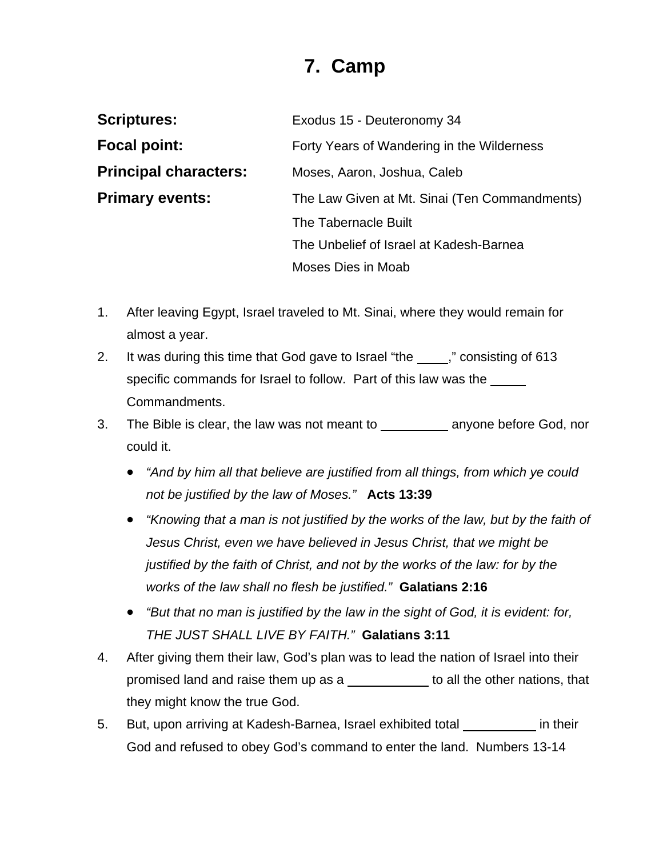## **7. Camp**

| <b>Scriptures:</b>           | Exodus 15 - Deuteronomy 34                    |
|------------------------------|-----------------------------------------------|
| <b>Focal point:</b>          | Forty Years of Wandering in the Wilderness    |
| <b>Principal characters:</b> | Moses, Aaron, Joshua, Caleb                   |
| <b>Primary events:</b>       | The Law Given at Mt. Sinai (Ten Commandments) |
|                              | The Tabernacle Built                          |
|                              | The Unbelief of Israel at Kadesh-Barnea       |
|                              | Moses Dies in Moab                            |

- 1. After leaving Egypt, Israel traveled to Mt. Sinai, where they would remain for almost a year.
- 2. It was during this time that God gave to Israel "the ," consisting of 613 specific commands for Israel to follow. Part of this law was the Commandments.
- 3. The Bible is clear, the law was not meant to \_\_\_\_\_\_\_\_\_\_\_\_ anyone before God, nor could it.
	- *"And by him all that believe are justified from all things, from which ye could not be justified by the law of Moses."* **Acts 13:39**
	- *"Knowing that a man is not justified by the works of the law, but by the faith of Jesus Christ, even we have believed in Jesus Christ, that we might be justified by the faith of Christ, and not by the works of the law: for by the works of the law shall no flesh be justified."* **Galatians 2:16**
	- *"But that no man is justified by the law in the sight of God, it is evident: for, THE JUST SHALL LIVE BY FAITH."* **Galatians 3:11**
- 4. After giving them their law, God's plan was to lead the nation of Israel into their promised land and raise them up as a sale to all the other nations, that they might know the true God.
- 5. But, upon arriving at Kadesh-Barnea, Israel exhibited total in their God and refused to obey God's command to enter the land. Numbers 13-14